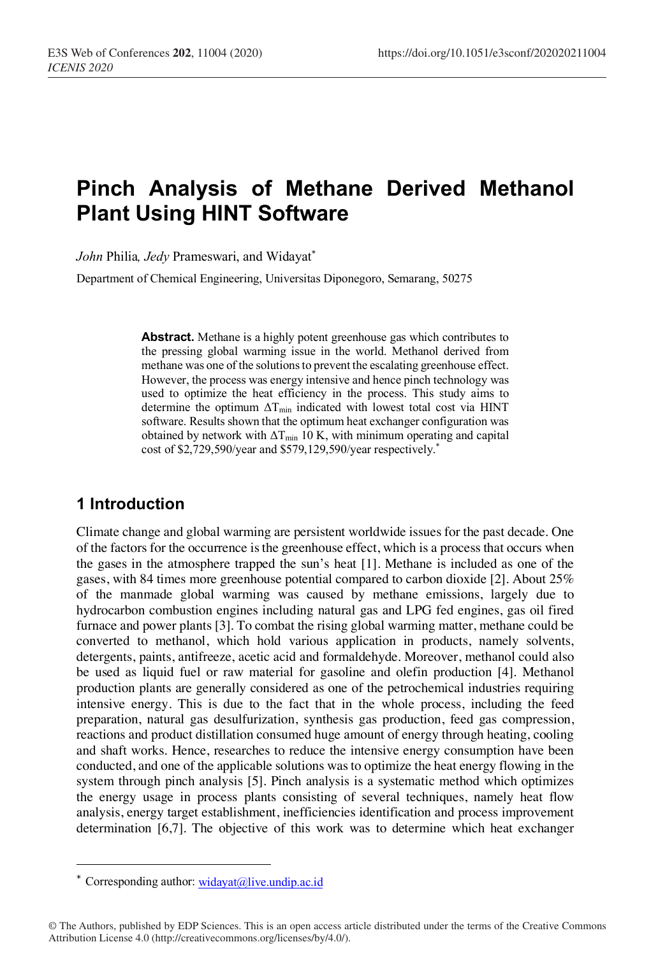# **Pinch Analysis of Methane Derived Methanol Plant Using HINT Software**

*John* Philia*, Jedy* Prameswari, and Widayat\*

Department of Chemical Engineering, Universitas Diponegoro, Semarang, 50275

**Abstract.** Methane is a highly potent greenhouse gas which contributes to the pressing global warming issue in the world. Methanol derived from methane was one of the solutions to prevent the escalating greenhouse effect. However, the process was energy intensive and hence pinch technology was used to optimize the heat efficiency in the process. This study aims to determine the optimum  $\Delta T_{\text{min}}$  indicated with lowest total cost via HINT software. Results shown that the optimum heat exchanger configuration was obtained by network with  $\Delta T_{\text{min}}$  10 K, with minimum operating and capital cost of \$2,729,590/year and \$579,129,590/year respectively.\*

## **1 Introduction**

Climate change and global warming are persistent worldwide issues for the past decade. One of the factors for the occurrence is the greenhouse effect, which is a process that occurs when the gases in the atmosphere trapped the sun's heat [1]. Methane is included as one of the gases, with 84 times more greenhouse potential compared to carbon dioxide [2]. About 25% of the manmade global warming was caused by methane emissions, largely due to hydrocarbon combustion engines including natural gas and LPG fed engines, gas oil fired furnace and power plants [3]. To combat the rising global warming matter, methane could be converted to methanol, which hold various application in products, namely solvents, detergents, paints, antifreeze, acetic acid and formaldehyde. Moreover, methanol could also be used as liquid fuel or raw material for gasoline and olefin production [4]. Methanol production plants are generally considered as one of the petrochemical industries requiring intensive energy. This is due to the fact that in the whole process, including the feed preparation, natural gas desulfurization, synthesis gas production, feed gas compression, reactions and product distillation consumed huge amount of energy through heating, cooling and shaft works. Hence, researches to reduce the intensive energy consumption have been conducted, and one of the applicable solutions was to optimize the heat energy flowing in the system through pinch analysis [5]. Pinch analysis is a systematic method which optimizes the energy usage in process plants consisting of several techniques, namely heat flow analysis, energy target establishment, inefficiencies identification and process improvement determination [6,7]. The objective of this work was to determine which heat exchanger

I

<sup>\*</sup> Corresponding author: widayat@live.undip.ac.id

<sup>©</sup> The Authors, published by EDP Sciences. This is an open access article distributed under the terms of the Creative Commons Attribution License 4.0 (http://creativecommons.org/licenses/by/4.0/).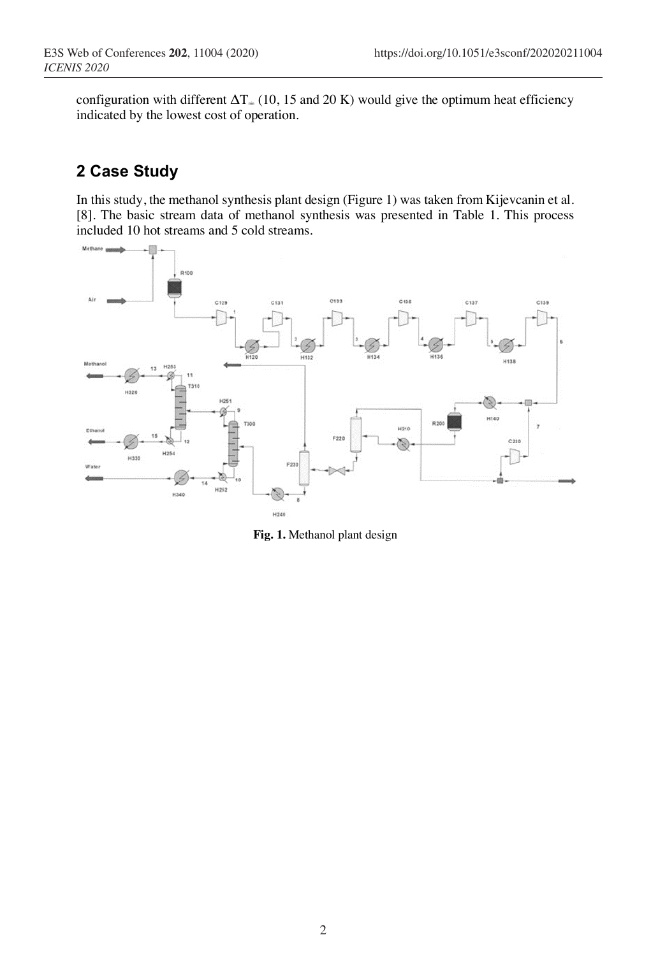configuration with different  $\Delta T_{\text{m}}$  (10, 15 and 20 K) would give the optimum heat efficiency indicated by the lowest cost of operation.

# **2 Case Study**

In this study, the methanol synthesis plant design (Figure 1) was taken from Kijevcanin et al. [8]. The basic stream data of methanol synthesis was presented in Table 1. This process included 10 hot streams and 5 cold streams.



**Fig. 1.** Methanol plant design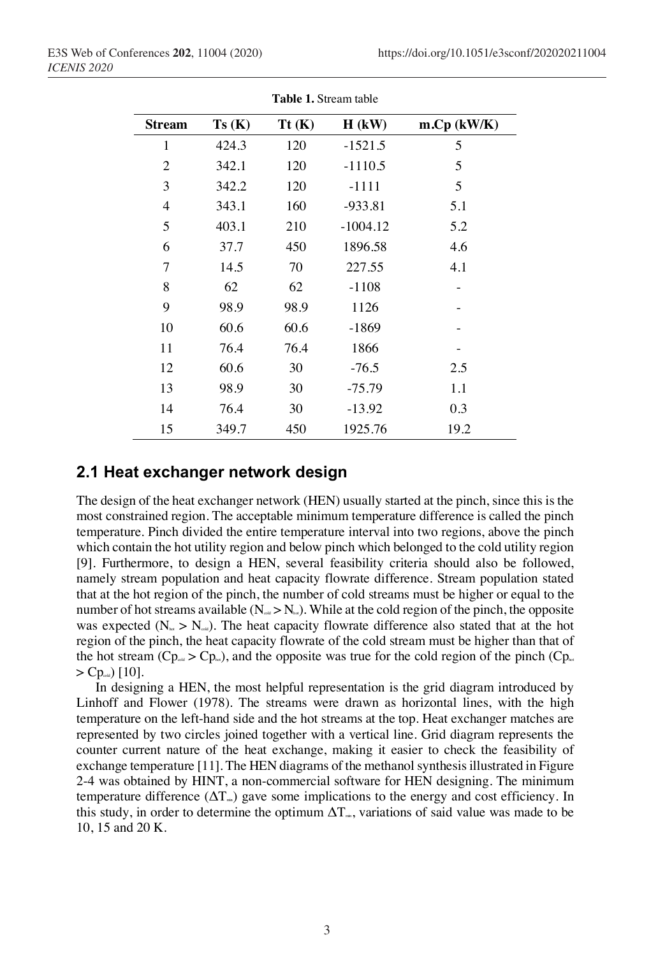| <b>Table 1.</b> Stream table |       |       |            |               |  |  |
|------------------------------|-------|-------|------------|---------------|--|--|
| <b>Stream</b>                | Ts(K) | Tt(K) | $H$ (kW)   | $m.Cp$ (kW/K) |  |  |
| 1                            | 424.3 | 120   | $-1521.5$  | 5             |  |  |
| $\mathfrak{2}$               | 342.1 | 120   | $-1110.5$  | 5             |  |  |
| 3                            | 342.2 | 120   | $-1111$    | 5             |  |  |
| $\overline{4}$               | 343.1 | 160   | $-933.81$  | 5.1           |  |  |
| 5                            | 403.1 | 210   | $-1004.12$ | 5.2           |  |  |
| 6                            | 37.7  | 450   | 1896.58    | 4.6           |  |  |
| 7                            | 14.5  | 70    | 227.55     | 4.1           |  |  |
| 8                            | 62    | 62    | $-1108$    |               |  |  |
| 9                            | 98.9  | 98.9  | 1126       |               |  |  |
| 10                           | 60.6  | 60.6  | $-1869$    |               |  |  |
| 11                           | 76.4  | 76.4  | 1866       |               |  |  |
| 12                           | 60.6  | 30    | $-76.5$    | 2.5           |  |  |
| 13                           | 98.9  | 30    | $-75.79$   | 1.1           |  |  |
| 14                           | 76.4  | 30    | $-13.92$   | 0.3           |  |  |
| 15                           | 349.7 | 450   | 1925.76    | 19.2          |  |  |

**Table 1.** Stream table

#### **2.1 Heat exchanger network design**

The design of the heat exchanger network (HEN) usually started at the pinch, since this is the most constrained region. The acceptable minimum temperature difference is called the pinch temperature. Pinch divided the entire temperature interval into two regions, above the pinch which contain the hot utility region and below pinch which belonged to the cold utility region [9]. Furthermore, to design a HEN, several feasibility criteria should also be followed, namely stream population and heat capacity flowrate difference. Stream population stated that at the hot region of the pinch, the number of cold streams must be higher or equal to the number of hot streams available ( $N_{\text{out}} > N_{\text{hot}}$ ). While at the cold region of the pinch, the opposite was expected ( $N_{\text{tot}} > N_{\text{out}}$ ). The heat capacity flowrate difference also stated that at the hot region of the pinch, the heat capacity flowrate of the cold stream must be higher than that of the hot stream ( $Cp_{\text{out}} > Cp_{\text{in}}$ ), and the opposite was true for the cold region of the pinch ( $Cp_{\text{out}}$ )  $>$  Cp<sub>cold</sub>) [10].

In designing a HEN, the most helpful representation is the grid diagram introduced by Linhoff and Flower (1978). The streams were drawn as horizontal lines, with the high temperature on the left-hand side and the hot streams at the top. Heat exchanger matches are represented by two circles joined together with a vertical line. Grid diagram represents the counter current nature of the heat exchange, making it easier to check the feasibility of exchange temperature [11]. The HEN diagrams of the methanol synthesis illustrated in Figure 2-4 was obtained by HINT, a non-commercial software for HEN designing. The minimum temperature difference  $(\Delta T_{m})$  gave some implications to the energy and cost efficiency. In this study, in order to determine the optimum  $\Delta T_{\text{m}}$ , variations of said value was made to be 10, 15 and 20 K.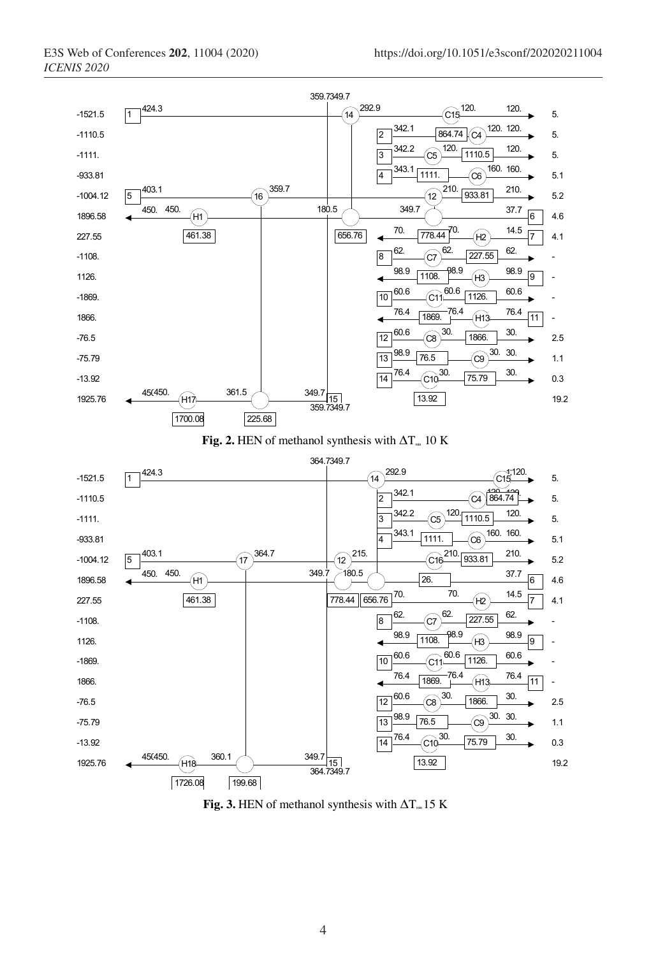

**Fig.** 3. HEN of methanol synthesis with  $\Delta T_{m}$  15 K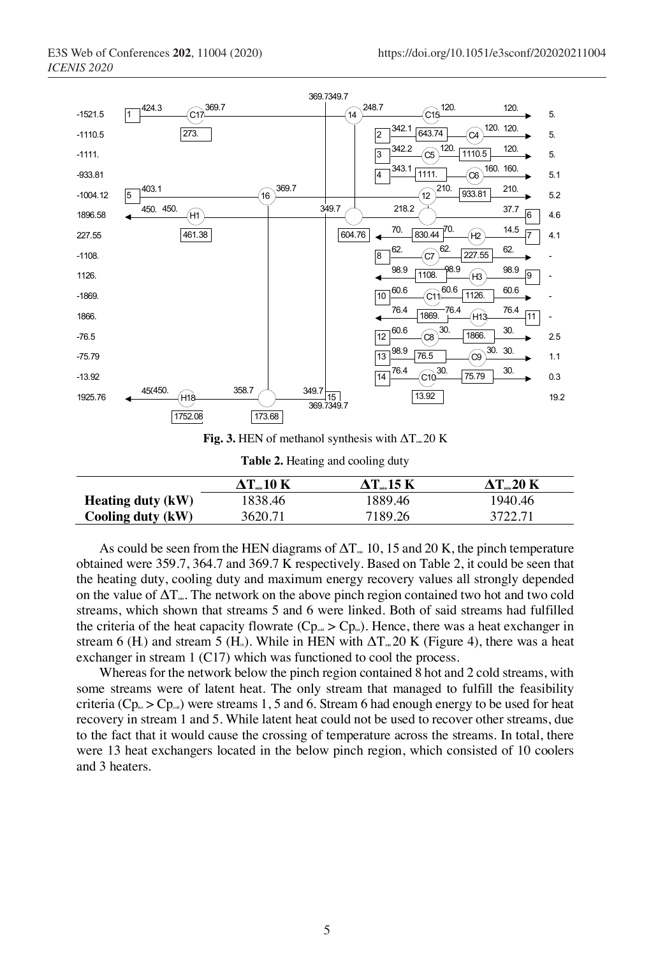

|                          | $\Delta$ T $_{-}$ 10 K | $\Delta$ T 15 K | $\Delta T_{\dots}$ 20 K |
|--------------------------|------------------------|-----------------|-------------------------|
| <b>Heating duty (kW)</b> | 1838.46                | 1889.46         | 1940.46                 |
| Cooling duty (kW)        | 3620.71                | 7189.26         | 3722.71                 |

As could be seen from the HEN diagrams of  $\Delta T_{m}$  10, 15 and 20 K, the pinch temperature obtained were 359.7, 364.7 and 369.7 K respectively. Based on Table 2, it could be seen that the heating duty, cooling duty and maximum energy recovery values all strongly depended on the value of  $\Delta T_{\text{m}}$ . The network on the above pinch region contained two hot and two cold streams, which shown that streams 5 and 6 were linked. Both of said streams had fulfilled the criteria of the heat capacity flowrate ( $Cp_{\text{out}} > Cp_{\text{in}}$ ). Hence, there was a heat exchanger in stream 6 (H<sub>1</sub>) and stream 5 (H<sub>18</sub>). While in HEN with  $\Delta T_{\text{m}}$  20 K (Figure 4), there was a heat exchanger in stream 1 (C17) which was functioned to cool the process.

Whereas for the network below the pinch region contained 8 hot and 2 cold streams, with some streams were of latent heat. The only stream that managed to fulfill the feasibility criteria ( $Cp_{\text{max}} > Cp_{\text{out}}$ ) were streams 1, 5 and 6. Stream 6 had enough energy to be used for heat recovery in stream 1 and 5. While latent heat could not be used to recover other streams, due to the fact that it would cause the crossing of temperature across the streams. In total, there were 13 heat exchangers located in the below pinch region, which consisted of 10 coolers and 3 heaters.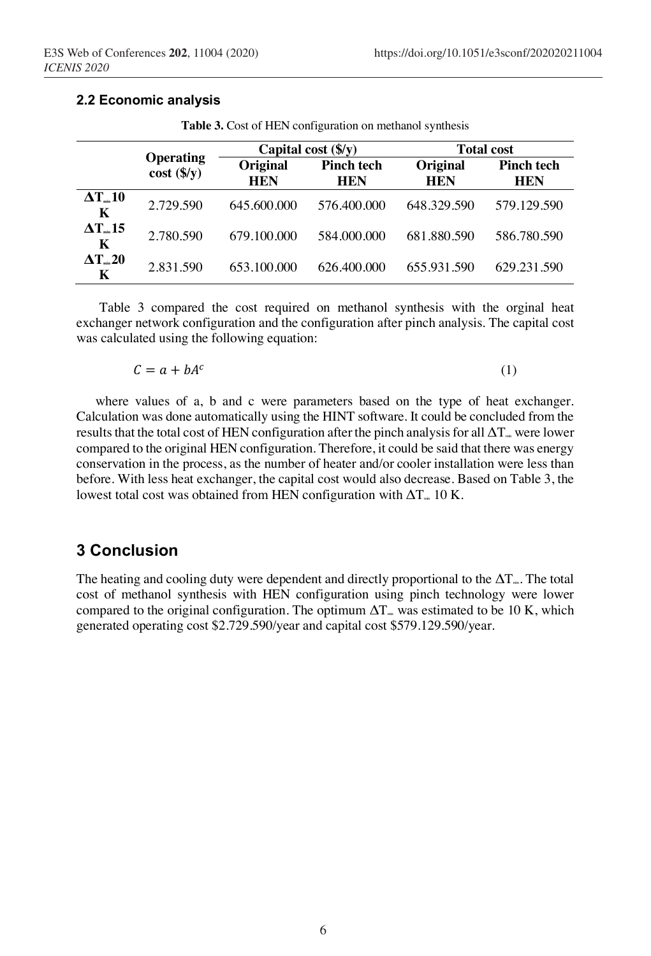**2.2 Economic analysis**

|                                         | <b>Operating</b><br>$cost$ (\$/y) | Capital cost $(\frac{f}{V})$ |                                 | <b>Total cost</b>      |                                 |
|-----------------------------------------|-----------------------------------|------------------------------|---------------------------------|------------------------|---------------------------------|
|                                         |                                   | Original<br><b>HEN</b>       | <b>Pinch tech</b><br><b>HEN</b> | Original<br><b>HEN</b> | <b>Pinch tech</b><br><b>HEN</b> |
| $\Delta T_{\textrm{\tiny min}} 10$<br>K | 2.729.590                         | 645.600.000                  | 576.400.000                     | 648.329.590            | 579.129.590                     |
| $\Delta T_{\text{\tiny min}}$ 15<br>K   | 2.780.590                         | 679.100.000                  | 584,000,000                     | 681.880.590            | 586.780.590                     |
| $\Delta T_{\text{\tiny min}} 20$<br>K   | 2.831.590                         | 653.100.000                  | 626.400.000                     | 655.931.590            | 629.231.590                     |

**Table 3.** Cost of HEN configuration on methanol synthesis

Table 3 compared the cost required on methanol synthesis with the orginal heat exchanger network configuration and the configuration after pinch analysis. The capital cost was calculated using the following equation:

$$
C = a + bA^c \tag{1}
$$

where values of a, b and c were parameters based on the type of heat exchanger. Calculation was done automatically using the HINT software. It could be concluded from the results that the total cost of HEN configuration after the pinch analysis for all  $\Delta T_{m}$  were lower compared to the original HEN configuration. Therefore, it could be said that there was energy conservation in the process, as the number of heater and/or cooler installation were less than before. With less heat exchanger, the capital cost would also decrease. Based on Table 3, the lowest total cost was obtained from HEN configuration with  $\Delta T_{m}$  10 K.

### **3 Conclusion**

The heating and cooling duty were dependent and directly proportional to the  $\Delta T_{\text{m}}$ . The total cost of methanol synthesis with HEN configuration using pinch technology were lower compared to the original configuration. The optimum  $\Delta T_{\text{m}}$  was estimated to be 10 K, which generated operating cost \$2.729.590/year and capital cost \$579.129.590/year.